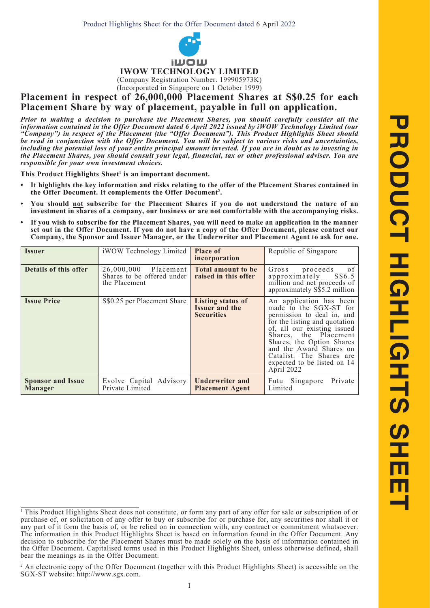

## **IWOW TECHNOLOGY LIMITED**

(Company Registration Number. 199905973K) (Incorporated in Singapore on 1 October 1999)

**Placement in respect of 26,000,000 Placement Shares at S\$0.25 for each Placement Share by way of placement, payable in full on application.**

*Prior to making a decision to purchase the Placement Shares, you should carefully consider all the information contained in the Offer Document dated 6 April 2022 issued by iWOW Technology Limited (our "Company") in respect of the Placement (the "Offer Document"). This Product Highlights Sheet should be read in conjunction with the Offer Document. You will be subject to various risks and uncertainties,*  including the potential loss of your entire principal amount invested. If you are in doubt as to investing in *the Placement Shares, you should consult your legal, financial, tax or other professional adviser. You are responsible for your own investment choices.*

This Product Highlights Sheet<sup>1</sup> is an important document.

- **• It highlights the key information and risks relating to the offer of the Placement Shares contained in the Offer Document. It complements the Offer Document2 .**
- **• You should not subscribe for the Placement Shares if you do not understand the nature of an investment in shares of a company, our business or are not comfortable with the accompanying risks.**
- **• If you wish to subscribe for the Placement Shares, you will need to make an application in the manner set out in the Offer Document. If you do not have a copy of the Offer Document, please contact our Company, the Sponsor and Issuer Manager, or the Underwriter and Placement Agent to ask for one.**

| <b>Issuer</b>                              | iWOW Technology Limited                                             | <b>Place of</b><br>incorporation                                       | Republic of Singapore                                                                                                                                                                                                                                                                                     |
|--------------------------------------------|---------------------------------------------------------------------|------------------------------------------------------------------------|-----------------------------------------------------------------------------------------------------------------------------------------------------------------------------------------------------------------------------------------------------------------------------------------------------------|
| Details of this offer                      | 26,000,000 Placement<br>Shares to be offered under<br>the Placement | <b>Total amount to be</b><br>raised in this offer                      | Gross<br>proceeds<br>0 f<br>approximately<br>S\$6.5<br>million and net proceeds of<br>approximately S\$5.2 million                                                                                                                                                                                        |
| <b>Issue Price</b>                         | S\$0.25 per Placement Share                                         | <b>Listing status of</b><br><b>Issuer and the</b><br><b>Securities</b> | An application has been<br>made to the SGX-ST for<br>permission to deal in, and<br>for the listing and quotation<br>of, all our existing issued<br>Shares, the Placement<br>Shares, the Option Shares<br>and the Award Shares on<br>Catalist. The Shares are<br>expected to be listed on 14<br>April 2022 |
| <b>Sponsor and Issue</b><br><b>Manager</b> | Evolve Capital Advisory<br>Private Limited                          | <b>Underwriter and</b><br><b>Placement Agent</b>                       | Private<br>Singapore<br>Futu<br>Limited                                                                                                                                                                                                                                                                   |

<sup>1</sup> This Product Highlights Sheet does not constitute, or form any part of any offer for sale or subscription of or purchase of, or solicitation of any offer to buy or subscribe for or purchase for, any securities nor shall it or any part of it form the basis of, or be relied on in connection with, any contract or commitment whatsoever. The information in this Product Highlights Sheet is based on information found in the Offer Document. Any decision to subscribe for the Placement Shares must be made solely on the basis of information contained in the Offer Document. Capitalised terms used in this Product Highlights Sheet, unless otherwise defined, shall bear the meanings as in the Offer Document.

<sup>&</sup>lt;sup>2</sup> An electronic copy of the Offer Document (together with this Product Highlights Sheet) is accessible on the SGX-ST website: http://www.sgx.com.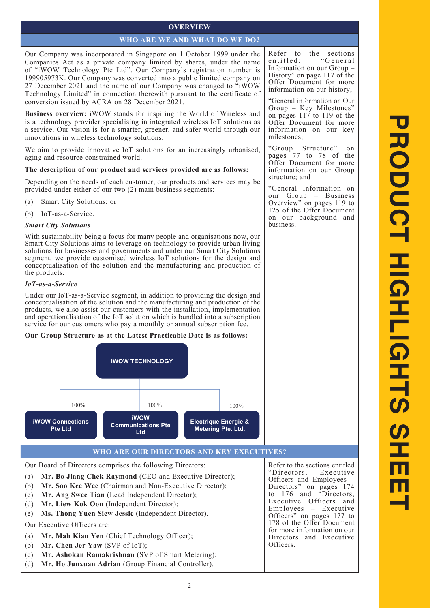# **OVERVIEW**

## **WHO ARE WE AND WHAT DO WE DO?**

Our Company was incorporated in Singapore on 1 October 1999 under the Companies Act as a private company limited by shares, under the name of "iWOW Technology Pte Ltd". Our Company's registration number is 199905973K. Our Company was converted into a public limited company on 27 December 2021 and the name of our Company was changed to "iWOW Technology Limited" in connection therewith pursuant to the certificate of conversion issued by ACRA on 28 December 2021.

**Business overview:** iWOW stands for inspiring the World of Wireless and is a technology provider specialising in integrated wireless IoT solutions as a service. Our vision is for a smarter, greener, and safer world through our innovations in wireless technology solutions.

We aim to provide innovative IoT solutions for an increasingly urbanised, aging and resource constrained world.

# **The description of our product and services provided are as follows:**

Depending on the needs of each customer, our products and services may be provided under either of our two (2) main business segments:

- (a) Smart City Solutions; or
- (b) IoT-as-a-Service.

# *Smart City Solutions*

With sustainability being a focus for many people and organisations now, our Smart City Solutions aims to leverage on technology to provide urban living solutions for businesses and governments and under our Smart City Solutions segment, we provide customised wireless IoT solutions for the design and conceptualisation of the solution and the manufacturing and production of the products.

# *IoT-as-a-Service*

Under our IoT-as-a-Service segment, in addition to providing the design and conceptualisation of the solution and the manufacturing and production of the products, we also assist our customers with the installation, implementation and operationalisation of the IoT solution which is bundled into a subscription service for our customers who pay a monthly or annual subscription fee.

# **Our Group Structure as at the Latest Practicable Date is as follows:**



# **WHO ARE OUR DIRECTORS AND KEY EXECUTIVES?**

# Our Board of Directors comprises the following Directors:

- (a) **Mr. Bo Jiang Chek Raymond** (CEO and Executive Director);
- (b) **Mr. Soo Kee Wee** (Chairman and Non-Executive Director);
- (c) **Mr. Ang Swee Tian** (Lead Independent Director);
- (d) **Mr. Liew Kok Oon** (Independent Director);
- (e) **Ms. Thong Yuen Siew Jessie** (Independent Director).

# Our Executive Officers are:

- (a) **Mr. Mah Kian Yen** (Chief Technology Officer);
- (b) **Mr. Chen Jer Yaw** (SVP of IoT);
- (c) **Mr. Ashokan Ramakrishnan** (SVP of Smart Metering);
- (d) **Mr. Ho Junxuan Adrian** (Group Financial Controller).

Refer to the sections<br>entitled: "General  $``General$ Information on our Group – History" on page 117 of the Offer Document for more information on our history;

"General information on Our Group – Key Milestones" on pages 117 to 119 of the Offer Document for more information on our key milestones;

"Group Structure" on pages 77 to 78 of the Offer Document for more information on our Group structure; and

"General Information on our Group – Business Overview" on pages 119 to 125 of the Offer Document on our background and business.

Refer to the sections entitled<br>"Directors. Executive "Directors, Officers and Employees – Directors" on pages 174 to 176 and "Directors, Executive Officers and Employees – Executive Officers" on pages 177 to 178 of the Offer Document for more information on our Directors and Executive Officers.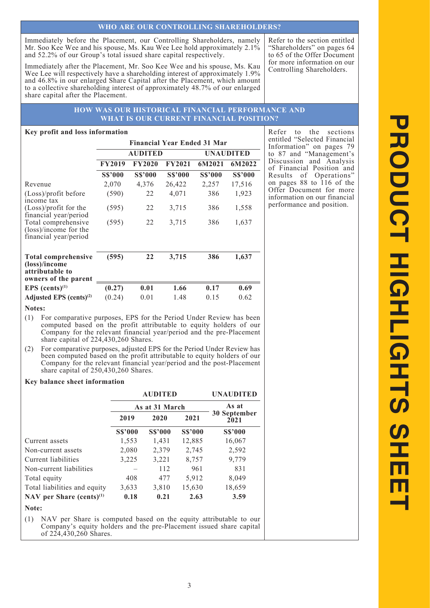## **WHO ARE OUR CONTROLLING SHAREHOLDERS?**

Immediately before the Placement, our Controlling Shareholders, namely Mr. Soo Kee Wee and his spouse, Ms. Kau Wee Lee hold approximately 2.1% and 52.2% of our Group's total issued share capital respectively.

Immediately after the Placement, Mr. Soo Kee Wee and his spouse, Ms. Kau Wee Lee will respectively have a shareholding interest of approximately 1.9% and 46.8% in our enlarged Share Capital after the Placement, which amount to a collective shareholding interest of approximately 48.7% of our enlarged share capital after the Placement.

Refer to the section entitled "Shareholders" on pages 64 to 65 of the Offer Document for more information on our Controlling Shareholders.

## **HOW WAS OUR HISTORICAL FINANCIAL PERFORMANCE AND WHAT IS OUR CURRENT FINANCIAL POSITION?**

#### **Key profit and loss information**

|                                                                                        |                |                |                | <b>Financial Year Ended 31 Mar</b> |                |  |
|----------------------------------------------------------------------------------------|----------------|----------------|----------------|------------------------------------|----------------|--|
|                                                                                        |                | <b>AUDITED</b> |                | UNAUDITED                          |                |  |
|                                                                                        | <b>FY2019</b>  | <b>FY2020</b>  | <b>FY2021</b>  | 6M2021                             | 6M2022         |  |
|                                                                                        | <b>S\$'000</b> | <b>S\$'000</b> | <b>S\$'000</b> | <b>S\$'000</b>                     | <b>S\$'000</b> |  |
| Revenue                                                                                | 2,070          | 4,376          | 26,422         | 2,257                              | 17,516         |  |
| (Loss)/profit before<br>income tax                                                     | (590)          | 22             | 4,071          | 386                                | 1,923          |  |
| (Loss)/profit for the<br>financial year/period                                         | (595)          | 22             | 3,715          | 386                                | 1,558          |  |
| Total comprehensive<br>(loss)/income for the<br>financial year/period                  | (595)          | 22             | 3,715          | 386                                | 1,637          |  |
| <b>Total comprehensive</b><br>(loss)/income<br>attributable to<br>owners of the parent | (595)          | 22             | 3,715          | 386                                | 1,637          |  |
| EPS $(cents)^{(1)}$                                                                    | (0.27)         | 0.01           | 1.66           | 0.17                               | 0.69           |  |
| Adjusted EPS $(cents)^{(2)}$                                                           | (0.24)         | 0.01           | 1.48           | 0.15                               | 0.62           |  |

## **Notes:**

- (1) For comparative purposes, EPS for the Period Under Review has been computed based on the profit attributable to equity holders of our Company for the relevant financial year/period and the pre-Placement share capital of 224,430,260 Shares.
- (2) For comparative purposes, adjusted EPS for the Period Under Review has been computed based on the profit attributable to equity holders of our Company for the relevant financial year/period and the post-Placement share capital of 250,430,260 Shares.

#### **Key balance sheet information**

|                              |                | <b>AUDITED</b> | <b>UNAUDITED</b><br>As at |                      |  |
|------------------------------|----------------|----------------|---------------------------|----------------------|--|
|                              |                | As at 31 March |                           |                      |  |
|                              | 2019           | 2020           | 2021                      | 30 September<br>2021 |  |
|                              | <b>S\$'000</b> | <b>S\$'000</b> | <b>S\$'000</b>            | <b>S\$'000</b>       |  |
| Current assets               | 1,553          | 1,431          | 12,885                    | 16,067               |  |
| Non-current assets           | 2,080          | 2,379          | 2,745                     | 2,592                |  |
| Current liabilities          | 3,225          | 3,221          | 8,757                     | 9,779                |  |
| Non-current liabilities      |                | 112            | 961                       | 831                  |  |
| Total equity                 | 408            | 477            | 5,912                     | 8,049                |  |
| Total liabilities and equity | 3,633          | 3,810          | 15,630                    | 18,659               |  |
| NAV per Share (cents) $(1)$  | 0.18           | 0.21           | 2.63                      | 3.59                 |  |
| Note:                        |                |                |                           |                      |  |

(1) NAV per Share is computed based on the equity attributable to our Company's equity holders and the pre-Placement issued share capital of 224,430,260 Shares.

Refer to the sections entitled "Selected Financial Information" on pages 79 to 87 and "Management's Discussion and Analysis of Financial Position and Results of Operations" on pages 88 to 116 of the Offer Document for more information on our financial performance and position.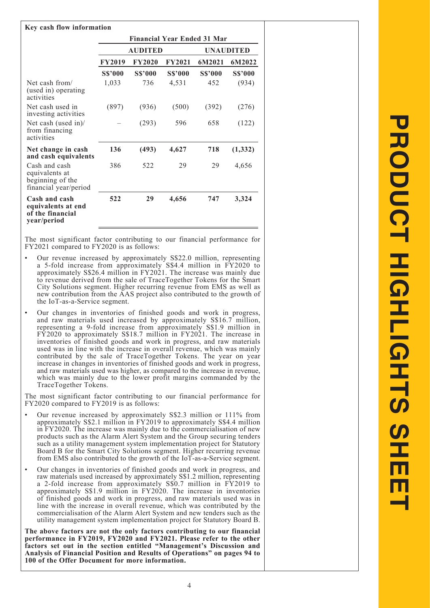| Key cash flow information                                                    |                                    |                                    |                |                |                |  |  |  |
|------------------------------------------------------------------------------|------------------------------------|------------------------------------|----------------|----------------|----------------|--|--|--|
|                                                                              | <b>Financial Year Ended 31 Mar</b> |                                    |                |                |                |  |  |  |
|                                                                              |                                    | <b>AUDITED</b><br><b>UNAUDITED</b> |                |                |                |  |  |  |
|                                                                              | <b>FY2019</b>                      | <b>FY2020</b>                      | <b>FY2021</b>  | 6M2021         | 6M2022         |  |  |  |
|                                                                              | <b>S\$'000</b>                     | <b>S\$'000</b>                     | <b>S\$'000</b> | <b>S\$'000</b> | <b>S\$'000</b> |  |  |  |
| Net cash from/<br>(used in) operating<br>activities                          | 1,033                              | 736                                | 4,531          | 452            | (934)          |  |  |  |
| Net cash used in<br>investing activities                                     | (897)                              | (936)                              | (500)          | (392)          | (276)          |  |  |  |
| Net cash (used in)/<br>from financing<br>activities                          |                                    | (293)                              | 596            | 658            | (122)          |  |  |  |
| Net change in cash<br>and cash equivalents                                   | 136                                | (493)                              | 4,627          | 718            | (1, 332)       |  |  |  |
| Cash and cash<br>equivalents at<br>beginning of the<br>financial year/period | 386                                | 522                                | 29             | 29             | 4,656          |  |  |  |
| Cash and cash<br>equivalents at end<br>of the financial<br>year/period       | 522                                | 29                                 | 4,656          | 747            | 3,324          |  |  |  |

The most significant factor contributing to our financial performance for FY2021 compared to FY2020 is as follows:

- Our revenue increased by approximately S\$22.0 million, representing a 5-fold increase from approximately S\$4.4 million in FY2020 to approximately S\$26.4 million in FY2021. The increase was mainly due to revenue derived from the sale of TraceTogether Tokens for the Smart City Solutions segment. Higher recurring revenue from EMS as well as new contribution from the AAS project also contributed to the growth of the IoT-as-a-Service segment.
- Our changes in inventories of finished goods and work in progress, and raw materials used increased by approximately S\$16.7 million, representing a 9-fold increase from approximately S\$1.9 million in FY2020 to approximately S\$18.7 million in FY2021. The increase in inventories of finished goods and work in progress, and raw materials used was in line with the increase in overall revenue, which was mainly contributed by the sale of TraceTogether Tokens. The year on year increase in changes in inventories of finished goods and work in progress, and raw materials used was higher, as compared to the increase in revenue, which was mainly due to the lower profit margins commanded by the TraceTogether Tokens.

The most significant factor contributing to our financial performance for FY2020 compared to FY2019 is as follows:

- Our revenue increased by approximately S\$2.3 million or 111% from approximately S\$2.1 million in FY2019 to approximately S\$4.4 million in FY2020. The increase was mainly due to the commercialisation of new products such as the Alarm Alert System and the Group securing tenders such as a utility management system implementation project for Statutory Board B for the Smart City Solutions segment. Higher recurring revenue from EMS also contributed to the growth of the IoT-as-a-Service segment.
- Our changes in inventories of finished goods and work in progress, and raw materials used increased by approximately S\$1.2 million, representing a 2-fold increase from approximately S\$0.7 million in FY2019 to approximately S\$1.9 million in FY2020. The increase in inventories of finished goods and work in progress, and raw materials used was in line with the increase in overall revenue, which was contributed by the commercialisation of the Alarm Alert System and new tenders such as the utility management system implementation project for Statutory Board B.

**The above factors are not the only factors contributing to our financial performance in FY2019, FY2020 and FY2021. Please refer to the other factors set out in the section entitled "Management's Discussion and Analysis of Financial Position and Results of Operations" on pages 94 to 100 of the Offer Document for more information.**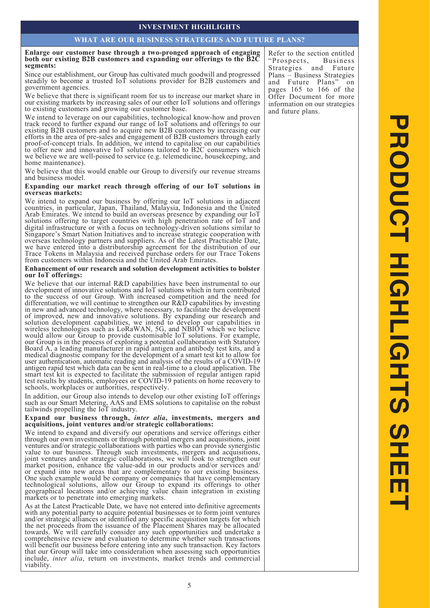## **INVESTMENT HIGHLIGHTS**

#### **WHAT ARE OUR BUSINESS STRATEGIES AND FUTURE PLANS?**

#### **Enlarge our customer base through a two-pronged approach of engaging both our existing B2B customers and expanding our offerings to the B2C segments:**

Since our establishment, our Group has cultivated much goodwill and progressed steadily to become a trusted IoT solutions provider for B2B customers and government agencies.

We believe that there is significant room for us to increase our market share in our existing markets by increasing sales of our other IoT solutions and offerings to existing customers and growing our customer base.

We intend to leverage on our capabilities, technological know-how and proven track record to further expand our range of IoT solutions and offerings to our existing B2B customers and to acquire new B2B customers by increasing our efforts in the area of pre-sales and engagement of B2B customers through early proof-of-concept trials. In addition, we intend to capitalise on our capabilities to offer new and innovative IoT solutions tailored to B2C consumers which we believe we are well-poised to service (e.g. telemedicine, housekeeping, and home maintenance).

We believe that this would enable our Group to diversify our revenue streams and business model.

#### **Expanding our market reach through offering of our IoT solutions in overseas markets:**

We intend to expand our business by offering our IoT solutions in adjacent countries, in particular, Japan, Thailand, Malaysia, Indonesia and the United Arab Emirates. We intend to build an overseas presence by expanding our IoT solutions offering to target countries with high penetration rate of IoT and digital infrastructure or with a focus on technology-driven solutions similar to Singapore's Smart Nation Initiatives and to increase strategic cooperation with overseas technology partners and suppliers. As of the Latest Practicable Date, we have entered into a distributorship agreement for the distribution of our Trace Tokens in Malaysia and received purchase orders for our Trace Tokens from customers within Indonesia and the United Arab Emirates.

#### **Enhancement of our research and solution development activities to bolster our IoT offerings:**

We believe that our internal R&D capabilities have been instrumental to our development of innovative solutions and IoT solutions which in turn contributed to the success of our Group. With increased competition and the need for differentiation, we will continue to strengthen our R&D capabilities by investing in new and advanced technology, where necessary, to facilitate the development of improved, new and innovative solutions. By expanding our research and solution development capabilities, we intend to develop our capabilities in wireless technologies such as LoRaWAN, 5G, and NBIOT which we believe would allow our Group to provide customisable IoT solutions. For example, our Group is in the process of exploring a potential collaboration with Statutory our Group is in the process of exploring a potential collaboration with Statutory Board A, a leading manufacturer in rapid antigen and antibody test kits, and a medical diagnostic company for the development of a smart test kit to allow for user authentication, automatic reading and analysis of the results of a COVID-19 antigen rapid test which data can be sent in real-time to a cloud application. The smart test kit is expected to facilitate the submission of regular antigen rapid test results by students, employees or COVID-19 patients on home recovery to schools, workplaces or authorities, respectively.

In addition, our Group also intends to develop our other existing IoT offerings such as our Smart Metering, AAS and EMS solutions to capitalise on the robust tailwinds propelling the IoT industry.

#### **Expand our business through,** *inter alia***, investments, mergers and acquisitions, joint ventures and/or strategic collaborations:**

We intend to expand and diversify our operations and service offerings either through our own investments or through potential mergers and acquisitions, joint ventures and/or strategic collaborations with parties who can provide synergistic value to our business. Through such investments, mergers and acquisitions, joint ventures and/or strategic collaborations, we will look to strengthen our market position, enhance the value-add in our products and/or services and/ or expand into new areas that are complementary to our existing business. One such example would be company or companies that have complementary technological solutions, allow our Group to expand its offerings to other geographical locations and/or achieving value chain integration in existing geographical locations and/or achieving value chain integration in existing markets or to penetrate into emerging markets.

As at the Latest Practicable Date, we have not entered into definitive agreements with any potential party to acquire potential businesses or to form joint ventures and/or strategic alliances or identified any specific acquisition targets for which the net proceeds from the issuance of the Placement Shares may be allocated towards. We will carefully consider any such opportunities and undertake a comprehensive review and evaluation to determine whether such transactions will benefit our business before entering into any such transaction. Key factors that our Group will take into consideration when assessing such opportunities include, *inter alia*, return on investments, market trends and commercial viability.

Refer to the section entitled<br>"Prospects. Business" "Prospects, Strategies and Future Plans – Business Strategies and Future Plans" on pages 165 to 166 of the Offer Document for more information on our strategies and future plans.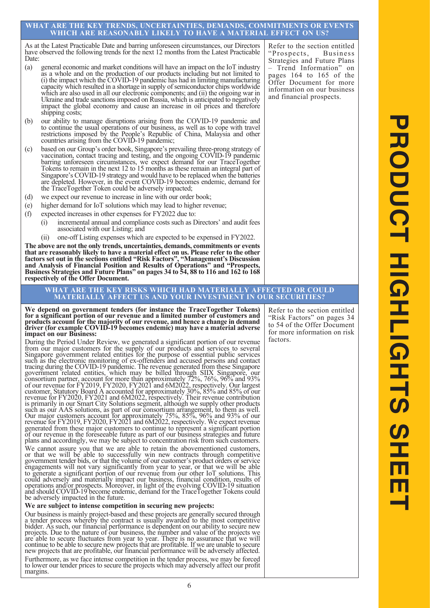#### **WHAT ARE THE KEY TRENDS, UNCERTAINTIES, DEMANDS, COMMITMENTS OR EVENTS WHICH ARE REASONABLY LIKELY TO HAVE A MATERIAL EFFECT ON US?**

As at the Latest Practicable Date and barring unforeseen circumstances, our Directors have observed the following trends for the next 12 months from the Latest Practicable Date:

- (a) general economic and market conditions will have an impact on the IoT industry as a whole and on the production of our products including but not limited to (i) the impact which the COVID-19 pandemic has had in limiting manufacturing capacity which resulted in a shortage in supply of semiconductor chips worldwide which are also used in all our electronic components; and (ii) the ongoing war in Ukraine and trade sanctions imposed on Russia, which is anticipated to negatively impact the global economy and cause an increase in oil prices and therefore shipping costs;
- (b) our ability to manage disruptions arising from the COVID-19 pandemic and to continue the usual operations of our business, as well as to cope with travel restrictions imposed by the People's Republic of China, Malaysia and other countries arising from the COVID-19 pandemic;
- (c) based on our Group's order book, Singapore's prevailing three-prong strategy of vaccination, contact tracing and testing, and the ongoing COVID-19 pandemic barring unforeseen circumstances, we expect demand for our Tra Tokens to remain in the next 12 to 15 months as these remain an integral part of Singapore's COVID-19 strategy and would have to be replaced when the batteries Singapore's COVID-19 strategy and would have to be replaced when the batteries are depleted. However, in the event COVID-19 becomes endemic, demand for the TraceTogether Token could be adversely impacted;
- (d) we expect our revenue to increase in line with our order book;
- (e) higher demand for IoT solutions which may lead to higher revenue;
- (f) expected increases in other expenses for FY2022 due to:
	- (i) incremental annual and compliance costs such as Directors' and audit fees associated with our Listing; and
	- (ii) one-off Listing expenses which are expected to be expensed in FY2022.

**The above are not the only trends, uncertainties, demands, commitments or events that are reasonably likely to have a material effect on us. Please refer to the other factors set out in the sections entitled "Risk Factors", "Management's Discussion and Analysis of Financial Position and Results of Operations" and "Prospects, Business Strategies and Future Plans" on pages 34 to 54, 88 to 116 and 162 to 168 respectively of the Offer Document.**

#### **WHAT ARE THE KEY RISKS WHICH HAD MATERIALLY AFFECTED OR COULD MATERIALLY AFFECT US AND YOUR INVESTMENT IN OUR SECURITIES?**

**We depend on government tenders (for instance the TraceTogether Tokens) for a significant portion of our revenue and a limited number of customers and products account for the majority of our revenue, and hence a change in demand driver (for example COVID-19 becomes endemic) may have a material adverse impact on our Business:**

During the Period Under Review, we generated a significant portion of our revenue From our major customers for the supply of our products and services to several Singapore government related entities for the purpose of essential public services Singapore government related entities for the purpose of essential public services such as the electronic monitoring of ex-offenders and accused persons and contact tracing during the COVID-19 pandemic. The revenue generated from these Singapore government related entities, which may be billed through SIIX Singapore, our consortium partner, account for more than approximately 72%, 76%, 96% and 93% of our revenue for FY2019, FY2020, FY2021 and 6M2022, respectively. Our largest customer, Statutory Board A accounted for approximately 30%, 85% and 85% of our revenue for FY2020, FY2021 and 6M2022, respectively. Their revenue contribution is primarily in our Smart City Solutions segment, although we supply other products such as our AAS solutions, as part of our consortium arrangement, to them as well. Our major customers account for approximately 75%, 85%, 96% and 93% of our revenue for FY2019, FY2020, FY2021 and 6M2022, respectively. We expect revenue generated from these major customers to continue to represent a significant portion of our revenue in the foreseeable future as part of our business strategies and future plans and accordingly, we may be subject to concentration risk from such customers.

We cannot assure you that we are able to retain the abovementioned customers, or that we will be able to successfully win new contracts through competitive government tender bids, or that the volume of our customer's product orders or service engagements will not vary significantly from year to year, or that we will be able to generate a significant portion of our revenue from our other IoT solutions. This could adversely and materially impact our business, financial condition, results of operations and/or prospects. Moreover, in light of the evolving COVID-19 situation and should COVID-19 become endemic, demand for the TraceTogether Tokens could be adversely impacted in the future.

**We are subject to intense competition in securing new projects:**

Our business is mainly project-based and these projects are generally secured through a tender process whereby the contract is usually awarded to the most competitive bidder. As such, our financial performance is dependent on our ability to secure new projects. Due to the nature of our business, the number and value of the projects we are able to secure fluctuates from year to year. There is no assurance that we will continue to be able to secure new projects that are profitable. If we are unable to secure new projects that are profitable, our financial performance will be adversely affected. Furthermore, as we face intense competition in the tender process, we may be forced to lower our tender prices to secure the projects which may adversely affect our profit margins.

Refer to the section entitled "Risk Factors" on pages 34 to 54 of the Offer Document for more information on risk factors.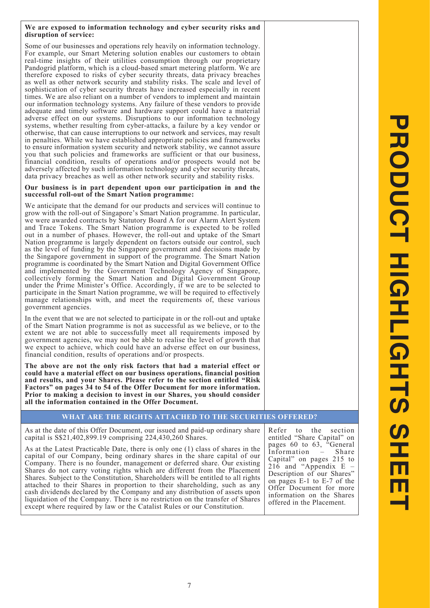#### **We are exposed to information technology and cyber security risks and disruption of service:**

Some of our businesses and operations rely heavily on information technology. For example, our Smart Metering solution enables our customers to obtain real-time insights of their utilities consumption through our proprietary Pandogrid platform, which is a cloud-based smart metering platform. We are therefore exposed to risks of cyber security threats, data privacy breaches as well as other network security and stability risks. The scale and level of sophistication of cyber security threats have increased especially in recent times. We are also reliant on a number of vendors to implement and maintain our information technology systems. Any failure of these vendors to provide adequate and timely software and hardware support could have a material adverse effect on our systems. Disruptions to our information technology systems, whether resulting from cyber-attacks, a failure by a key vendor or otherwise, that can cause interruptions to our network and services, may result in penalties. While we have established appropriate policies and frameworks to ensure information system security and network stability, we cannot assure you that such policies and frameworks are sufficient or that our business, financial condition, results of operations and/or prospects would not be adversely affected by such information technology and cyber security threats, data privacy breaches as well as other network security and stability risks.

#### **Our business is in part dependent upon our participation in and the successful roll-out of the Smart Nation programme:**

We anticipate that the demand for our products and services will continue to grow with the roll-out of Singapore's Smart Nation programme. In particular, we were awarded contracts by Statutory Board A for our Alarm Alert System and Trace Tokens. The Smart Nation programme is expected to be rolled out in a number of phases. However, the roll-out and uptake of the Smart Nation programme is largely dependent on factors outside our control, such as the level of funding by the Singapore government and decisions made by the Singapore government in support of the programme. The Smart Nation programme is coordinated by the Smart Nation and Digital Government Office and implemented by the Government Technology Agency of Singapore, collectively forming the Smart Nation and Digital Government Group under the Prime Minister's Office. Accordingly, if we are to be selected to participate in the Smart Nation programme, we will be required to effectively manage relationships with, and meet the requirements of, these various government agencies.

In the event that we are not selected to participate in or the roll-out and uptake of the Smart Nation programme is not as successful as we believe, or to the extent we are not able to successfully meet all requirements imposed by government agencies, we may not be able to realise the level of growth that we expect to achieve, which could have an adverse effect on our business, financial condition, results of operations and/or prospects.

**The above are not the only risk factors that had a material effect or could have a material effect on our business operations, financial position and results, and your Shares. Please refer to the section entitled "Risk Factors" on pages 34 to 54 of the Offer Document for more information. Prior to making a decision to invest in our Shares, you should consider all the information contained in the Offer Document.**

## **WHAT ARE THE RIGHTS ATTACHED TO THE SECURITIES OFFERED?**

As at the date of this Offer Document, our issued and paid-up ordinary share capital is S\$21,402,899.19 comprising 224,430,260 Shares.

As at the Latest Practicable Date, there is only one (1) class of shares in the capital of our Company, being ordinary shares in the share capital of our Company. There is no founder, management or deferred share. Our existing Shares do not carry voting rights which are different from the Placement Shares. Subject to the Constitution, Shareholders will be entitled to all rights attached to their Shares in proportion to their shareholding, such as any cash dividends declared by the Company and any distribution of assets upon liquidation of the Company. There is no restriction on the transfer of Shares except where required by law or the Catalist Rules or our Constitution.

Refer to the section entitled "Share Capital" on pages 60 to 63, "General Information – Share Capital" on pages 215 to 216 and "Appendix E – Description of our Shares" on pages E-1 to E-7 of the Offer Document for more information on the Shares offered in the Placement.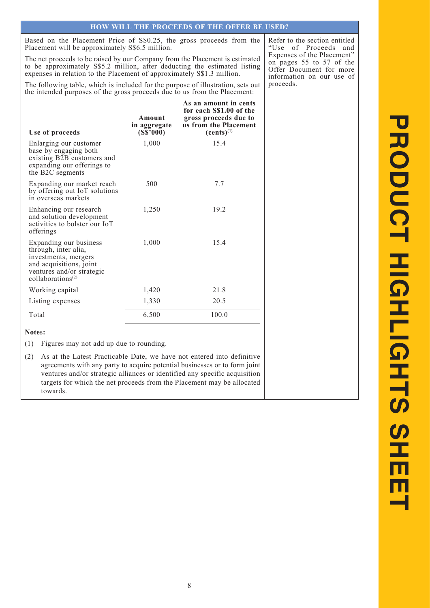Based on the Placement Price of S\$0.25, the gross proceeds from the Placement will be approximately S\$6.5 million.

The net proceeds to be raised by our Company from the Placement is estimated to be approximately S\$5.2 million, after deducting the estimated listing expenses in relation to the Placement of approximately S\$1.3 million.

The following table, which is included for the purpose of illustration, sets out the intended purposes of the gross proceeds due to us from the Placement:

**Use of proceeds Amount in aggregate (S\$'000) As an amount in cents for each S\$1.00 of the gross proceeds due to us from the Placement (cents)(1)** Enlarging our customer base by engaging both existing B2B customers and expanding our offerings to the B2C segments 1,000 15.4 Expanding our market reach by offering out IoT solutions in overseas markets 500 7.7 Enhancing our research and solution development activities to bolster our IoT offerings 1,250 19.2 Expanding our business through, inter alia, investments, mergers and acquisitions, joint ventures and/or strategic collaborations<sup>(2)</sup> 1,000 15.4 Working capital 1,420 21.8 Listing expenses 1,330 20.5 Total 6,500 100.0

**Note**s**:**

(1) Figures may not add up due to rounding.

(2) As at the Latest Practicable Date, we have not entered into definitive agreements with any party to acquire potential businesses or to form joint ventures and/or strategic alliances or identified any specific acquisition targets for which the net proceeds from the Placement may be allocated towards.

Refer to the section entitled "Use of Proceeds and Expenses of the Placement" on pages 55 to 57 of the Offer Document for more information on our use of proceeds.

# **PRODUCT HIGHLIGHTS SHEET** PRODUCT HIGHLIGHTS SH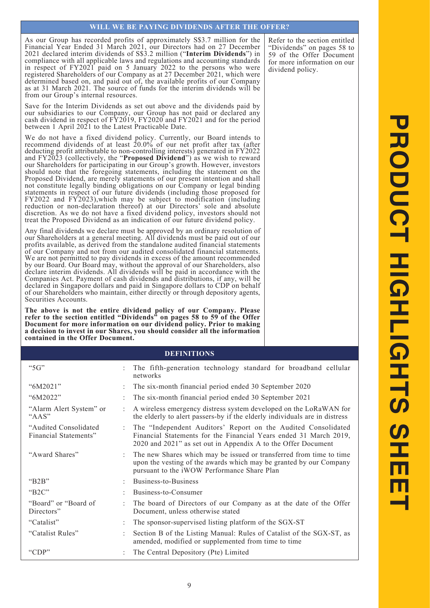## **WILL WE BE PAYING DIVIDENDS AFTER THE OFFER?**

As our Group has recorded profits of approximately S\$3.7 million for the Financial Year Ended 31 March 2021, our Directors had on 27 December 2021 declared interim dividends of S\$3.2 million ("**Interim Dividends**") in compliance with all applicable laws and regulations and accounting standards in respect of FY2021 paid on 5 January 2022 to the persons who were registered Shareholders of our Company as at 27 December 2021, which were determined based on, and paid out of, the available profits of our Company as at 31 March 2021. The source of funds for the interim dividends will be from our Group's internal resources.

Save for the Interim Dividends as set out above and the dividends paid by our subsidiaries to our Company, our Group has not paid or declared any cash dividend in respect of FY2019, FY2020 and FY2021 and for the period between 1 April 2021 to the Latest Practicable Date.

We do not have a fixed dividend policy. Currently, our Board intends to recommend dividends of at least 20.0% of our net profit after tax (after deducting profit attributable to non-controlling interests) generated in FY2022 and FY2023 (collectively, the "**Proposed Dividend**") as we wish to reward our Shareholders for participating in our Group's growth. However, investors should note that the foregoing statements, including the statement on the Proposed Dividend, are merely statements of our present intention and shall not constitute legally binding obligations on our Company or legal binding statements in respect of our future dividends (including those proposed for FY2022 and FY2023),which may be subject to modification (including reduction or non-declaration thereof) at our Directors' sole and absolute discretion. As we do not have a fixed dividend policy, investors should not treat the Proposed Dividend as an indication of our future dividend policy.

Any final dividends we declare must be approved by an ordinary resolution of our Shareholders at a general meeting. All dividends must be paid out of our profits available, as derived from the standalone audited financial statements of our Company and not from our audited consolidated financial statements. We are not permitted to pay dividends in excess of the amount recommended by our Board. Our Board may, without the approval of our Shareholders, also declare interim dividends. All dividends will be paid in accordance with the Companies Act. Payment of cash dividends and distributions, if any, will be declared in Singapore dollars and paid in Singapore dollars to CDP on behalf of our Shareholders who maintain, either directly or through depository agents, Securities Accounts.

**The above is not the entire dividend policy of our Company. Please refer to the section entitled "Dividends" on pages 58 to 59 of the Offer Document for more information on our dividend policy. Prior to making a decision to invest in our Shares, you should consider all the information contained in the Offer Document.**

#### **DEFINITIONS**

| " $5G$ "                                       |   | The fifth-generation technology standard for broadband cellular<br>networks                                                                                                                         |
|------------------------------------------------|---|-----------------------------------------------------------------------------------------------------------------------------------------------------------------------------------------------------|
| "6M2021"                                       |   | The six-month financial period ended 30 September 2020                                                                                                                                              |
| "6M2022"                                       |   | The six-month financial period ended 30 September 2021                                                                                                                                              |
| "Alarm Alert System" or<br>" $AAS"$            |   | A wireless emergency distress system developed on the LoRaWAN for<br>the elderly to alert passers-by if the elderly individuals are in distress                                                     |
| "Audited Consolidated<br>Financial Statements" | ÷ | The "Independent Auditors' Report on the Audited Consolidated<br>Financial Statements for the Financial Years ended 31 March 2019,<br>2020 and 2021" as set out in Appendix A to the Offer Document |
| "Award Shares"                                 |   | The new Shares which may be issued or transferred from time to time<br>upon the vesting of the awards which may be granted by our Company<br>pursuant to the iWOW Performance Share Plan            |
| " $B2B$ "                                      |   | Business-to-Business                                                                                                                                                                                |
| " $B2C$ "                                      |   | Business-to-Consumer                                                                                                                                                                                |
| "Board" or "Board of<br>Directors"             |   | The board of Directors of our Company as at the date of the Offer<br>Document, unless otherwise stated                                                                                              |
| "Catalist"                                     |   | The sponsor-supervised listing platform of the SGX-ST                                                                                                                                               |
| "Catalist Rules"                               |   | Section B of the Listing Manual: Rules of Catalist of the SGX-ST, as<br>amended, modified or supplemented from time to time                                                                         |
| "CDP"                                          |   | The Central Depository (Pte) Limited                                                                                                                                                                |

Refer to the section entitled "Dividends" on pages 58 to 59 of the Offer Document for more information on our dividend policy.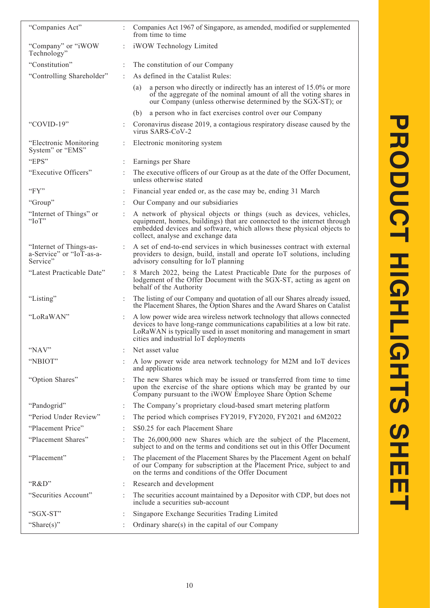| "Companies Act"                                                 | Companies Act 1967 of Singapore, as amended, modified or supplemented<br>from time to time                                                                                                                                                                             |
|-----------------------------------------------------------------|------------------------------------------------------------------------------------------------------------------------------------------------------------------------------------------------------------------------------------------------------------------------|
| "Company" or "iWOW<br>Technology"                               | iWOW Technology Limited                                                                                                                                                                                                                                                |
| "Constitution"                                                  | The constitution of our Company                                                                                                                                                                                                                                        |
| "Controlling Shareholder"                                       | As defined in the Catalist Rules:                                                                                                                                                                                                                                      |
|                                                                 | a person who directly or indirectly has an interest of 15.0% or more<br>(a)<br>of the aggregate of the nominal amount of all the voting shares in<br>our Company (unless otherwise determined by the SGX-ST); or                                                       |
|                                                                 | a person who in fact exercises control over our Company<br>(b)                                                                                                                                                                                                         |
| "COVID-19"                                                      | Coronavirus disease 2019, a contagious respiratory disease caused by the<br>virus SARS-CoV-2                                                                                                                                                                           |
| "Electronic Monitoring<br>System" or "EMS"                      | Electronic monitoring system                                                                                                                                                                                                                                           |
| "EPS"                                                           | Earnings per Share                                                                                                                                                                                                                                                     |
| "Executive Officers"                                            | The executive officers of our Group as at the date of the Offer Document,<br>unless otherwise stated                                                                                                                                                                   |
| "FY"                                                            | Financial year ended or, as the case may be, ending 31 March                                                                                                                                                                                                           |
| "Group"                                                         | Our Company and our subsidiaries                                                                                                                                                                                                                                       |
| "Internet of Things" or<br>" $IoT$ "                            | A network of physical objects or things (such as devices, vehicles,<br>equipment, homes, buildings) that are connected to the internet through<br>embedded devices and software, which allows these physical objects to<br>collect, analyse and exchange data          |
| "Internet of Things-as-<br>a-Service" or "IoT-as-a-<br>Service" | A set of end-to-end services in which businesses contract with external<br>providers to design, build, install and operate IoT solutions, including<br>advisory consulting for IoT planning                                                                            |
| "Latest Practicable Date"                                       | 8 March 2022, being the Latest Practicable Date for the purposes of<br>lodgement of the Offer Document with the SGX-ST, acting as agent on<br>behalf of the Authority                                                                                                  |
| "Listing"                                                       | The listing of our Company and quotation of all our Shares already issued,<br>the Placement Shares, the Option Shares and the Award Shares on Catalist                                                                                                                 |
| "LoRaWAN"                                                       | A low power wide area wireless network technology that allows connected<br>devices to have long-range communications capabilities at a low bit rate.<br>LoRaWAN is typically used in asset monitoring and management in smart<br>cities and industrial IoT deployments |
| "NAV"                                                           | Net asset value                                                                                                                                                                                                                                                        |
| "NBIOT"                                                         | A low power wide area network technology for M2M and IoT devices<br>and applications                                                                                                                                                                                   |
| "Option Shares"                                                 | The new Shares which may be issued or transferred from time to time<br>upon the exercise of the share options which may be granted by our<br>Company pursuant to the iWOW Employee Share Option Scheme                                                                 |
| "Pandogrid"                                                     | The Company's proprietary cloud-based smart metering platform                                                                                                                                                                                                          |
| "Period Under Review"                                           | The period which comprises FY2019, FY2020, FY2021 and 6M2022                                                                                                                                                                                                           |
| "Placement Price"                                               | S\$0.25 for each Placement Share                                                                                                                                                                                                                                       |
| "Placement Shares"                                              | The 26,000,000 new Shares which are the subject of the Placement,<br>subject to and on the terms and conditions set out in this Offer Document                                                                                                                         |
| "Placement"                                                     | The placement of the Placement Shares by the Placement Agent on behalf<br>of our Company for subscription at the Placement Price, subject to and<br>on the terms and conditions of the Offer Document                                                                  |
| " $R&D"$                                                        | Research and development                                                                                                                                                                                                                                               |
| "Securities Account"                                            | The securities account maintained by a Depositor with CDP, but does not<br>include a securities sub-account                                                                                                                                                            |
| "SGX-ST"                                                        | Singapore Exchange Securities Trading Limited                                                                                                                                                                                                                          |
| "Share $(s)$ "                                                  | Ordinary share(s) in the capital of our Company                                                                                                                                                                                                                        |